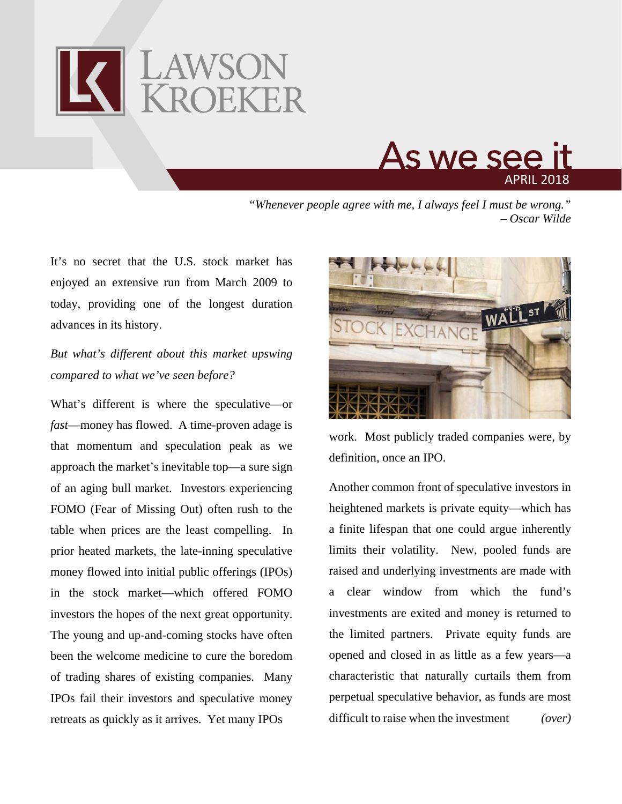



*"Whenever people agree with me, I always feel I must be wrong." – Oscar Wilde*

It's no secret that the U.S. stock market has enjoyed an extensive run from March 2009 to today, providing one of the longest duration advances in its history.

## *But what's different about this market upswing compared to what we've seen before?*

What's different is where the speculative—or *fast*—money has flowed. A time-proven adage is that momentum and speculation peak as we approach the market's inevitable top—a sure sign of an aging bull market. Investors experiencing FOMO (Fear of Missing Out) often rush to the table when prices are the least compelling. In prior heated markets, the late-inning speculative money flowed into initial public offerings (IPOs) in the stock market—which offered FOMO investors the hopes of the next great opportunity. The young and up-and-coming stocks have often been the welcome medicine to cure the boredom of trading shares of existing companies. Many IPOs fail their investors and speculative money retreats as quickly as it arrives. Yet many IPOs



work. Most publicly traded companies were, by definition, once an IPO.

Another common front of speculative investors in heightened markets is private equity—which has a finite lifespan that one could argue inherently limits their volatility. New, pooled funds are raised and underlying investments are made with a clear window from which the fund's investments are exited and money is returned to the limited partners. Private equity funds are opened and closed in as little as a few years—a characteristic that naturally curtails them from perpetual speculative behavior, as funds are most difficult to raise when the investment *(over)*